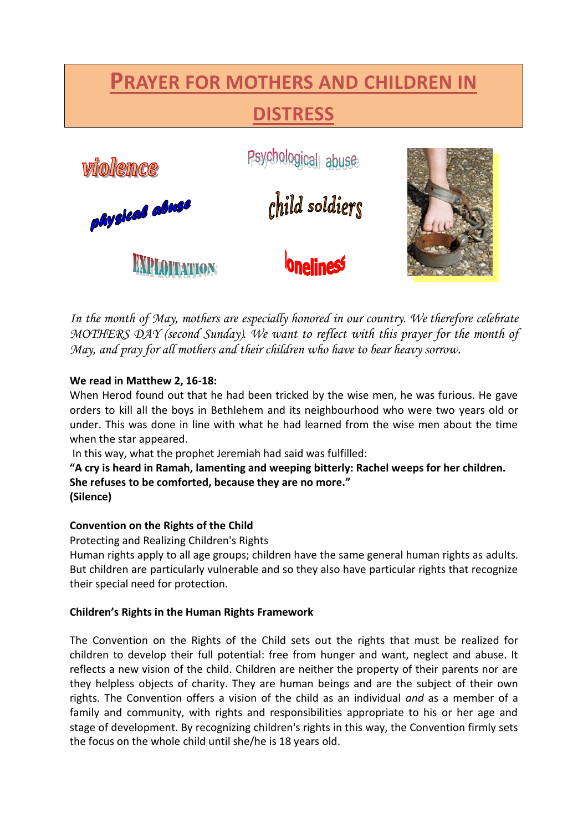# **PRAYER FOR MOTHERS AND CHILDREN IN DISTRESS**



*In the month of May, mothers are especially honored in our country. We therefore celebrate MOTHERS DAY (second Sunday). We want to reflect with this prayer for the month of May, and pray for all mothers and their children who have to bear heavy sorrow.*

## **We read in Matthew 2, 16-18:**

When Herod found out that he had been tricked by the wise men, he was furious. He gave orders to kill all the boys in Bethlehem and its neighbourhood who were two years old or under. This was done in line with what he had learned from the wise men about the time when the star appeared.

In this way, what the prophet Jeremiah had said was fulfilled:

**"A cry is heard in Ramah, lamenting and weeping bitterly: Rachel weeps for her children. She refuses to be comforted, because they are no more." (Silence)**

## **Convention on the Rights of the Child**

Protecting and Realizing Children's Rights

Human rights apply to all age groups; children have the same general human rights as adults. But children are particularly vulnerable and so they also have particular rights that recognize their special need for protection.

## **Children's Rights in the Human Rights Framework**

The Convention on the Rights of the Child sets out the rights that must be realized for children to develop their full potential: free from hunger and want, neglect and abuse. It reflects a new vision of the child. Children are neither the property of their parents nor are they helpless objects of charity. They are human beings and are the subject of their own rights. The Convention offers a vision of the child as an individual *and* as a member of a family and community, with rights and responsibilities appropriate to his or her age and stage of development. By recognizing children's rights in this way, the Convention firmly sets the focus on the whole child until she/he is 18 years old.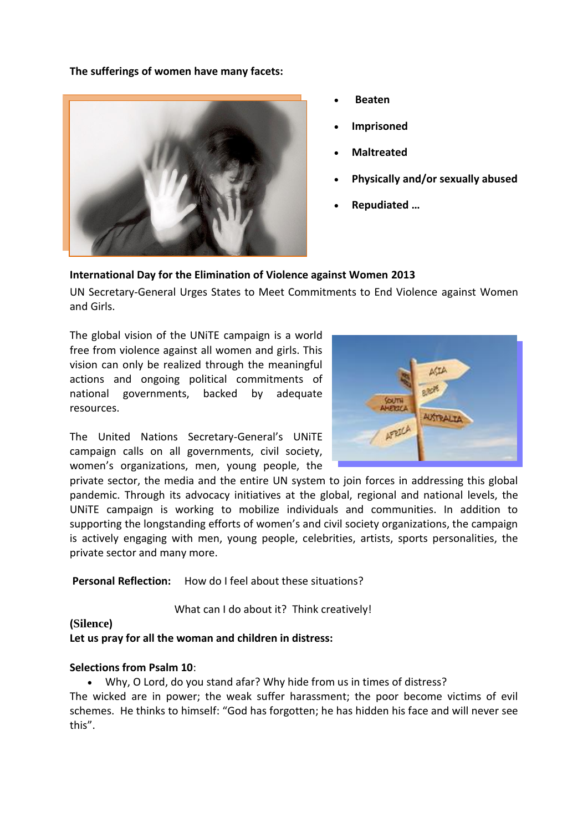**The sufferings of women have many facets:**



- **Beaten**
- **Imprisoned**
- **Maltreated**
- **Physically and/or sexually abused**
- **Repudiated …**

#### **International Day for the Elimination of Violence against Women 2013**

UN Secretary-General Urges States to Meet Commitments to End Violence against Women and Girls.

The global vision of the UNiTE campaign is a world free from violence against all women and girls. This vision can only be realized through the meaningful actions and ongoing political commitments of national governments, backed by adequate resources.



The United Nations Secretary-General's UNiTE campaign calls on all governments, civil society, women's organizations, men, young people, the

private sector, the media and the entire UN system to join forces in addressing this global pandemic. Through its advocacy initiatives at the global, regional and national levels, the UNiTE campaign is working to mobilize individuals and communities. In addition to supporting the longstanding efforts of women's and civil society organizations, the campaign is actively engaging with men, young people, celebrities, artists, sports personalities, the private sector and many more.

**Personal Reflection:** How do I feel about these situations?

What can I do about it? Think creatively!

**(Silence)**

**Let us pray for all the woman and children in distress:**

#### **Selections from Psalm 10**:

Why, O Lord, do you stand afar? Why hide from us in times of distress?

The wicked are in power; the weak suffer harassment; the poor become victims of evil schemes. He thinks to himself: "God has forgotten; he has hidden his face and will never see this".